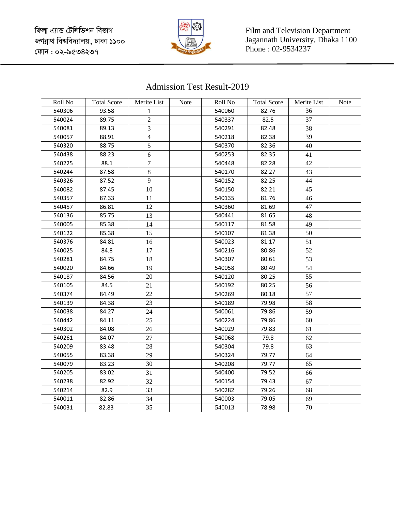ফিলা এ্যান্ড টেলিভিশন বিভাগ জগন্নাথ বিশ্ববিদ্যালয়, ঢাকা ১১০০ কোন : ০২-৯৫৩৪২৩৭



Film and Television Department Jagannath University, Dhaka 1100 Phone : 02-9534237

## Admission Test Result-2019

| Roll No | <b>Total Score</b> | Merite List    | Note | Roll No | <b>Total Score</b> | Merite List | Note |
|---------|--------------------|----------------|------|---------|--------------------|-------------|------|
| 540306  | 93.58              | 1              |      | 540060  | 82.76              | 36          |      |
| 540024  | 89.75              | $\sqrt{2}$     |      | 540337  | 82.5               | 37          |      |
| 540081  | 89.13              | 3              |      | 540291  | 82.48              | 38          |      |
| 540057  | 88.91              | $\overline{4}$ |      | 540218  | 82.38              | 39          |      |
| 540320  | 88.75              | 5              |      | 540370  | 82.36              | 40          |      |
| 540438  | 88.23              | 6              |      | 540253  | 82.35              | 41          |      |
| 540225  | 88.1               | $\overline{7}$ |      | 540448  | 82.28              | 42          |      |
| 540244  | 87.58              | 8              |      | 540170  | 82.27              | 43          |      |
| 540326  | 87.52              | 9              |      | 540152  | 82.25              | 44          |      |
| 540082  | 87.45              | 10             |      | 540150  | 82.21              | 45          |      |
| 540357  | 87.33              | 11             |      | 540135  | 81.76              | 46          |      |
| 540457  | 86.81              | 12             |      | 540360  | 81.69              | 47          |      |
| 540136  | 85.75              | 13             |      | 540441  | 81.65              | 48          |      |
| 540005  | 85.38              | 14             |      | 540117  | 81.58              | 49          |      |
| 540122  | 85.38              | 15             |      | 540107  | 81.38              | 50          |      |
| 540376  | 84.81              | 16             |      | 540023  | 81.17              | 51          |      |
| 540025  | 84.8               | 17             |      | 540216  | 80.86              | 52          |      |
| 540281  | 84.75              | 18             |      | 540307  | 80.61              | 53          |      |
| 540020  | 84.66              | 19             |      | 540058  | 80.49              | 54          |      |
| 540187  | 84.56              | 20             |      | 540120  | 80.25              | 55          |      |
| 540105  | 84.5               | 21             |      | 540192  | 80.25              | 56          |      |
| 540374  | 84.49              | 22             |      | 540269  | 80.18              | 57          |      |
| 540139  | 84.38              | 23             |      | 540189  | 79.98              | 58          |      |
| 540038  | 84.27              | 24             |      | 540061  | 79.86              | 59          |      |
| 540442  | 84.11              | 25             |      | 540224  | 79.86              | 60          |      |
| 540302  | 84.08              | 26             |      | 540029  | 79.83              | 61          |      |
| 540261  | 84.07              | 27             |      | 540068  | 79.8               | 62          |      |
| 540209  | 83.48              | 28             |      | 540304  | 79.8               | 63          |      |
| 540055  | 83.38              | 29             |      | 540324  | 79.77              | 64          |      |
| 540079  | 83.23              | 30             |      | 540208  | 79.77              | 65          |      |
| 540205  | 83.02              | 31             |      | 540400  | 79.52              | 66          |      |
| 540238  | 82.92              | 32             |      | 540154  | 79.43              | 67          |      |
| 540214  | 82.9               | 33             |      | 540282  | 79.26              | 68          |      |
| 540011  | 82.86              | 34             |      | 540003  | 79.05              | 69          |      |
| 540031  | 82.83              | 35             |      | 540013  | 78.98              | 70          |      |